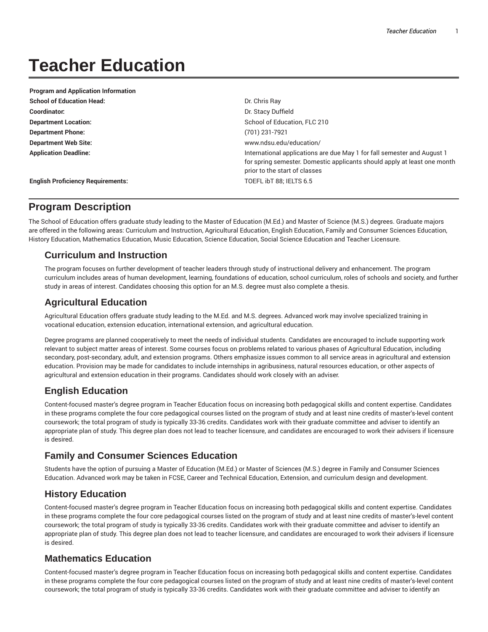# **Teacher Education**

| <b>Program and Application Information</b> |                                                                                                                                                                                      |
|--------------------------------------------|--------------------------------------------------------------------------------------------------------------------------------------------------------------------------------------|
| <b>School of Education Head:</b>           | Dr. Chris Ray                                                                                                                                                                        |
| Coordinator:                               | Dr. Stacy Duffield                                                                                                                                                                   |
| <b>Department Location:</b>                | School of Education, FLC 210                                                                                                                                                         |
| <b>Department Phone:</b>                   | (701) 231-7921                                                                                                                                                                       |
| <b>Department Web Site:</b>                | www.ndsu.edu/education/                                                                                                                                                              |
| <b>Application Deadline:</b>               | International applications are due May 1 for fall semester and August 1<br>for spring semester. Domestic applicants should apply at least one month<br>prior to the start of classes |
| <b>English Proficiency Requirements:</b>   | TOEFL IbT 88; IELTS 6.5                                                                                                                                                              |

# **Program Description**

The School of Education offers graduate study leading to the Master of Education (M.Ed.) and Master of Science (M.S.) degrees. Graduate majors are offered in the following areas: Curriculum and Instruction, Agricultural Education, English Education, Family and Consumer Sciences Education, History Education, Mathematics Education, Music Education, Science Education, Social Science Education and Teacher Licensure.

# **Curriculum and Instruction**

The program focuses on further development of teacher leaders through study of instructional delivery and enhancement. The program curriculum includes areas of human development, learning, foundations of education, school curriculum, roles of schools and society, and further study in areas of interest. Candidates choosing this option for an M.S. degree must also complete a thesis.

## **Agricultural Education**

Agricultural Education offers graduate study leading to the M.Ed. and M.S. degrees. Advanced work may involve specialized training in vocational education, extension education, international extension, and agricultural education.

Degree programs are planned cooperatively to meet the needs of individual students. Candidates are encouraged to include supporting work relevant to subject matter areas of interest. Some courses focus on problems related to various phases of Agricultural Education, including secondary, post-secondary, adult, and extension programs. Others emphasize issues common to all service areas in agricultural and extension education. Provision may be made for candidates to include internships in agribusiness, natural resources education, or other aspects of agricultural and extension education in their programs. Candidates should work closely with an adviser.

# **English Education**

Content-focused master's degree program in Teacher Education focus on increasing both pedagogical skills and content expertise. Candidates in these programs complete the four core pedagogical courses listed on the program of study and at least nine credits of master's-level content coursework; the total program of study is typically 33-36 credits. Candidates work with their graduate committee and adviser to identify an appropriate plan of study. This degree plan does not lead to teacher licensure, and candidates are encouraged to work their advisers if licensure is desired.

# **Family and Consumer Sciences Education**

Students have the option of pursuing a Master of Education (M.Ed.) or Master of Sciences (M.S.) degree in Family and Consumer Sciences Education. Advanced work may be taken in FCSE, Career and Technical Education, Extension, and curriculum design and development.

# **History Education**

Content-focused master's degree program in Teacher Education focus on increasing both pedagogical skills and content expertise. Candidates in these programs complete the four core pedagogical courses listed on the program of study and at least nine credits of master's-level content coursework; the total program of study is typically 33-36 credits. Candidates work with their graduate committee and adviser to identify an appropriate plan of study. This degree plan does not lead to teacher licensure, and candidates are encouraged to work their advisers if licensure is desired.

## **Mathematics Education**

Content-focused master's degree program in Teacher Education focus on increasing both pedagogical skills and content expertise. Candidates in these programs complete the four core pedagogical courses listed on the program of study and at least nine credits of master's-level content coursework; the total program of study is typically 33-36 credits. Candidates work with their graduate committee and adviser to identify an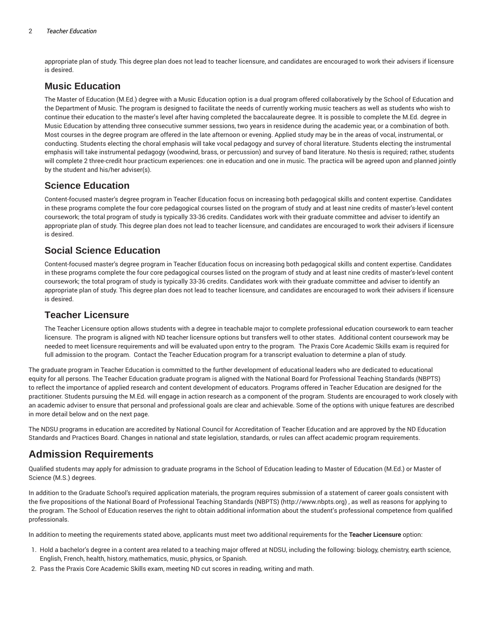appropriate plan of study. This degree plan does not lead to teacher licensure, and candidates are encouraged to work their advisers if licensure is desired.

## **Music Education**

The Master of Education (M.Ed.) degree with a Music Education option is a dual program offered collaboratively by the School of Education and the Department of Music. The program is designed to facilitate the needs of currently working music teachers as well as students who wish to continue their education to the master's level after having completed the baccalaureate degree. It is possible to complete the M.Ed. degree in Music Education by attending three consecutive summer sessions, two years in residence during the academic year, or a combination of both. Most courses in the degree program are offered in the late afternoon or evening. Applied study may be in the areas of vocal, instrumental, or conducting. Students electing the choral emphasis will take vocal pedagogy and survey of choral literature. Students electing the instrumental emphasis will take instrumental pedagogy (woodwind, brass, or percussion) and survey of band literature. No thesis is required; rather, students will complete 2 three-credit hour practicum experiences: one in education and one in music. The practica will be agreed upon and planned jointly by the student and his/her adviser(s).

## **Science Education**

Content-focused master's degree program in Teacher Education focus on increasing both pedagogical skills and content expertise. Candidates in these programs complete the four core pedagogical courses listed on the program of study and at least nine credits of master's-level content coursework; the total program of study is typically 33-36 credits. Candidates work with their graduate committee and adviser to identify an appropriate plan of study. This degree plan does not lead to teacher licensure, and candidates are encouraged to work their advisers if licensure is desired.

## **Social Science Education**

Content-focused master's degree program in Teacher Education focus on increasing both pedagogical skills and content expertise. Candidates in these programs complete the four core pedagogical courses listed on the program of study and at least nine credits of master's-level content coursework; the total program of study is typically 33-36 credits. Candidates work with their graduate committee and adviser to identify an appropriate plan of study. This degree plan does not lead to teacher licensure, and candidates are encouraged to work their advisers if licensure is desired.

## **Teacher Licensure**

The Teacher Licensure option allows students with a degree in teachable major to complete professional education coursework to earn teacher licensure. The program is aligned with ND teacher licensure options but transfers well to other states. Additional content coursework may be needed to meet licensure requirements and will be evaluated upon entry to the program. The Praxis Core Academic Skills exam is required for full admission to the program. Contact the Teacher Education program for a transcript evaluation to determine a plan of study.

The graduate program in Teacher Education is committed to the further development of educational leaders who are dedicated to educational equity for all persons. The Teacher Education graduate program is aligned with the National Board for Professional Teaching Standards (NBPTS) to reflect the importance of applied research and content development of educators. Programs offered in Teacher Education are designed for the practitioner. Students pursuing the M.Ed. will engage in action research as a component of the program. Students are encouraged to work closely with an academic adviser to ensure that personal and professional goals are clear and achievable. Some of the options with unique features are described in more detail below and on the next page.

The NDSU programs in education are accredited by National Council for Accreditation of Teacher Education and are approved by the ND Education Standards and Practices Board. Changes in national and state legislation, standards, or rules can affect academic program requirements.

# **Admission Requirements**

Qualified students may apply for admission to graduate programs in the School of Education leading to Master of Education (M.Ed.) or Master of Science (M.S.) degrees.

In addition to the Graduate School's required application materials, the program requires submission of a statement of career goals consistent with the five propositions of the National Board of Professional Teaching Standards (NBPTS) (http://www.nbpts.org) , as well as reasons for applying to the program. The School of Education reserves the right to obtain additional information about the student's professional competence from qualified professionals.

In addition to meeting the requirements stated above, applicants must meet two additional requirements for the **Teacher Licensure** option:

- 1. Hold a bachelor's degree in a content area related to a teaching major offered at NDSU, including the following: biology, chemistry, earth science, English, French, health, history, mathematics, music, physics, or Spanish.
- 2. Pass the Praxis Core Academic Skills exam, meeting ND cut scores in reading, writing and math.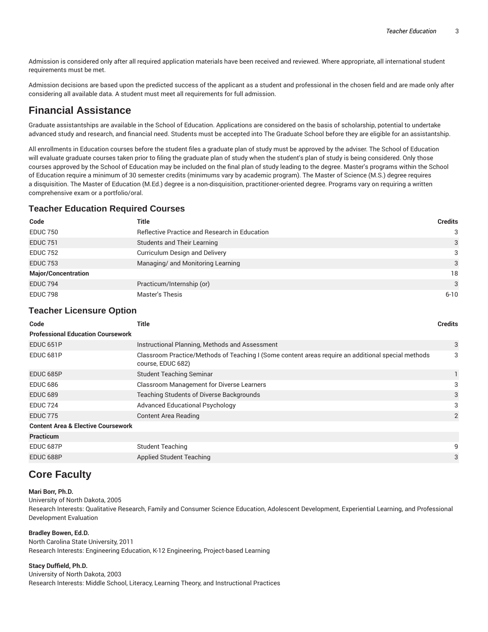Admission is considered only after all required application materials have been received and reviewed. Where appropriate, all international student requirements must be met.

Admission decisions are based upon the predicted success of the applicant as a student and professional in the chosen field and are made only after considering all available data. A student must meet all requirements for full admission.

# **Financial Assistance**

Graduate assistantships are available in the School of Education. Applications are considered on the basis of scholarship, potential to undertake advanced study and research, and financial need. Students must be accepted into The Graduate School before they are eligible for an assistantship.

All enrollments in Education courses before the student files a graduate plan of study must be approved by the adviser. The School of Education will evaluate graduate courses taken prior to filing the graduate plan of study when the student's plan of study is being considered. Only those courses approved by the School of Education may be included on the final plan of study leading to the degree. Master's programs within the School of Education require a minimum of 30 semester credits (minimums vary by academic program). The Master of Science (M.S.) degree requires a disquisition. The Master of Education (M.Ed.) degree is a non-disquisition, practitioner-oriented degree. Programs vary on requiring a written comprehensive exam or a portfolio/oral.

## **Teacher Education Required Courses**

| Code                       | <b>Title</b>                                         | <b>Credits</b> |
|----------------------------|------------------------------------------------------|----------------|
| <b>EDUC 750</b>            | <b>Reflective Practice and Research in Education</b> | 3              |
| <b>EDUC 751</b>            | <b>Students and Their Learning</b>                   | 3              |
| <b>EDUC 752</b>            | Curriculum Design and Delivery                       | 3              |
| <b>EDUC 753</b>            | Managing/ and Monitoring Learning                    | 3              |
| <b>Major/Concentration</b> |                                                      | 18             |
| <b>EDUC 794</b>            | Practicum/Internship (or)                            | $\mathbf{3}$   |
| EDUC 798                   | Master's Thesis                                      | $6 - 10$       |

## **Teacher Licensure Option**

| Code                                          | Title                                                                                                                   | <b>Credits</b> |
|-----------------------------------------------|-------------------------------------------------------------------------------------------------------------------------|----------------|
| <b>Professional Education Coursework</b>      |                                                                                                                         |                |
| EDUC <sub>651P</sub>                          | Instructional Planning, Methods and Assessment                                                                          | 3              |
| EDUC 681P                                     | Classroom Practice/Methods of Teaching I (Some content areas require an additional special methods<br>course, EDUC 682) | 3              |
| EDUC 685P                                     | <b>Student Teaching Seminar</b>                                                                                         | 1              |
| <b>EDUC 686</b>                               | <b>Classroom Management for Diverse Learners</b>                                                                        | 3              |
| <b>EDUC 689</b>                               | <b>Teaching Students of Diverse Backgrounds</b>                                                                         | 3              |
| <b>EDUC 724</b>                               | <b>Advanced Educational Psychology</b>                                                                                  | 3              |
| <b>EDUC 775</b>                               | <b>Content Area Reading</b>                                                                                             | $\overline{2}$ |
| <b>Content Area &amp; Elective Coursework</b> |                                                                                                                         |                |
| <b>Practicum</b>                              |                                                                                                                         |                |
| EDUC 687P                                     | <b>Student Teaching</b>                                                                                                 | 9              |
| EDUC 688P                                     | <b>Applied Student Teaching</b>                                                                                         | 3              |
|                                               |                                                                                                                         |                |

# **Core Faculty**

## **Mari Borr, Ph.D.**

University of North Dakota, 2005 Research Interests: Qualitative Research, Family and Consumer Science Education, Adolescent Development, Experiential Learning, and Professional Development Evaluation

**Bradley Bowen, Ed.D.** North Carolina State University, 2011 Research Interests: Engineering Education, K-12 Engineering, Project-based Learning

## **Stacy Duffield, Ph.D.**

University of North Dakota, 2003 Research Interests: Middle School, Literacy, Learning Theory, and Instructional Practices